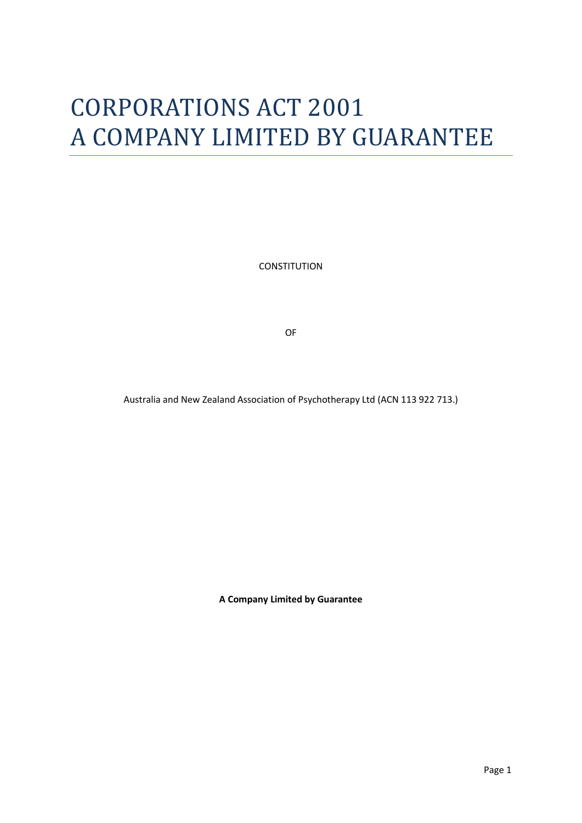# CORPORATIONS ACT 2001 A COMPANY LIMITED BY GUARANTEE

**CONSTITUTION** 

OF

Australia and New Zealand Association of Psychotherapy Ltd (ACN 113 922 713.)

**A Company Limited by Guarantee**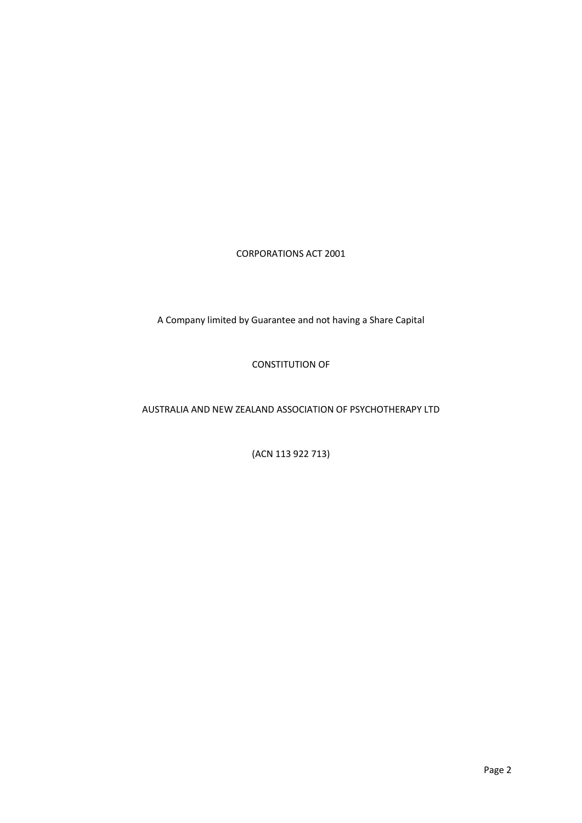CORPORATIONS ACT 2001

A Company limited by Guarantee and not having a Share Capital

CONSTITUTION OF

#### AUSTRALIA AND NEW ZEALAND ASSOCIATION OF PSYCHOTHERAPY LTD

(ACN 113 922 713)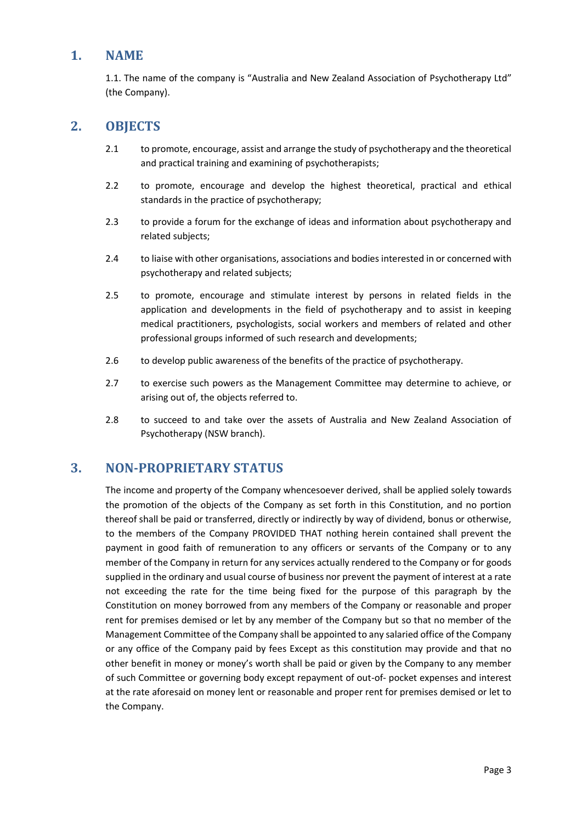#### **1. NAME**

1.1. The name of the company is "Australia and New Zealand Association of Psychotherapy Ltd" (the Company).

## **2. OBJECTS**

- 2.1 to promote, encourage, assist and arrange the study of psychotherapy and the theoretical and practical training and examining of psychotherapists;
- 2.2 to promote, encourage and develop the highest theoretical, practical and ethical standards in the practice of psychotherapy;
- 2.3 to provide a forum for the exchange of ideas and information about psychotherapy and related subjects;
- 2.4 to liaise with other organisations, associations and bodies interested in or concerned with psychotherapy and related subjects;
- 2.5 to promote, encourage and stimulate interest by persons in related fields in the application and developments in the field of psychotherapy and to assist in keeping medical practitioners, psychologists, social workers and members of related and other professional groups informed of such research and developments;
- 2.6 to develop public awareness of the benefits of the practice of psychotherapy.
- 2.7 to exercise such powers as the Management Committee may determine to achieve, or arising out of, the objects referred to.
- 2.8 to succeed to and take over the assets of Australia and New Zealand Association of Psychotherapy (NSW branch).

#### **3. NON-PROPRIETARY STATUS**

The income and property of the Company whencesoever derived, shall be applied solely towards the promotion of the objects of the Company as set forth in this Constitution, and no portion thereof shall be paid or transferred, directly or indirectly by way of dividend, bonus or otherwise, to the members of the Company PROVIDED THAT nothing herein contained shall prevent the payment in good faith of remuneration to any officers or servants of the Company or to any member of the Company in return for any services actually rendered to the Company or for goods supplied in the ordinary and usual course of business nor prevent the payment of interest at a rate not exceeding the rate for the time being fixed for the purpose of this paragraph by the Constitution on money borrowed from any members of the Company or reasonable and proper rent for premises demised or let by any member of the Company but so that no member of the Management Committee of the Company shall be appointed to any salaried office of the Company or any office of the Company paid by fees Except as this constitution may provide and that no other benefit in money or money's worth shall be paid or given by the Company to any member of such Committee or governing body except repayment of out-of- pocket expenses and interest at the rate aforesaid on money lent or reasonable and proper rent for premises demised or let to the Company.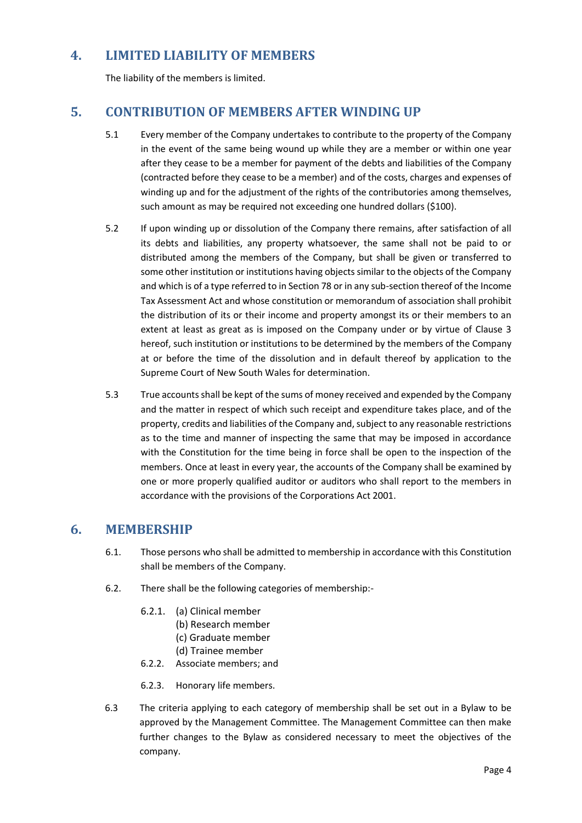## **4. LIMITED LIABILITY OF MEMBERS**

The liability of the members is limited.

## **5. CONTRIBUTION OF MEMBERS AFTER WINDING UP**

- 5.1 Every member of the Company undertakes to contribute to the property of the Company in the event of the same being wound up while they are a member or within one year after they cease to be a member for payment of the debts and liabilities of the Company (contracted before they cease to be a member) and of the costs, charges and expenses of winding up and for the adjustment of the rights of the contributories among themselves, such amount as may be required not exceeding one hundred dollars (\$100).
- 5.2 If upon winding up or dissolution of the Company there remains, after satisfaction of all its debts and liabilities, any property whatsoever, the same shall not be paid to or distributed among the members of the Company, but shall be given or transferred to some other institution or institutions having objects similar to the objects of the Company and which is of a type referred to in Section 78 or in any sub-section thereof of the Income Tax Assessment Act and whose constitution or memorandum of association shall prohibit the distribution of its or their income and property amongst its or their members to an extent at least as great as is imposed on the Company under or by virtue of Clause 3 hereof, such institution or institutions to be determined by the members of the Company at or before the time of the dissolution and in default thereof by application to the Supreme Court of New South Wales for determination.
- 5.3 True accounts shall be kept of the sums of money received and expended by the Company and the matter in respect of which such receipt and expenditure takes place, and of the property, credits and liabilities of the Company and, subject to any reasonable restrictions as to the time and manner of inspecting the same that may be imposed in accordance with the Constitution for the time being in force shall be open to the inspection of the members. Once at least in every year, the accounts of the Company shall be examined by one or more properly qualified auditor or auditors who shall report to the members in accordance with the provisions of the Corporations Act 2001.

## **6. MEMBERSHIP**

- 6.1. Those persons who shall be admitted to membership in accordance with this Constitution shall be members of the Company.
- 6.2. There shall be the following categories of membership:-
	- 6.2.1. (a) Clinical member
		- (b) Research member
		- (c) Graduate member
		- (d) Trainee member
	- 6.2.2. Associate members; and
	- 6.2.3. Honorary life members.
- 6.3 The criteria applying to each category of membership shall be set out in a Bylaw to be approved by the Management Committee. The Management Committee can then make further changes to the Bylaw as considered necessary to meet the objectives of the company.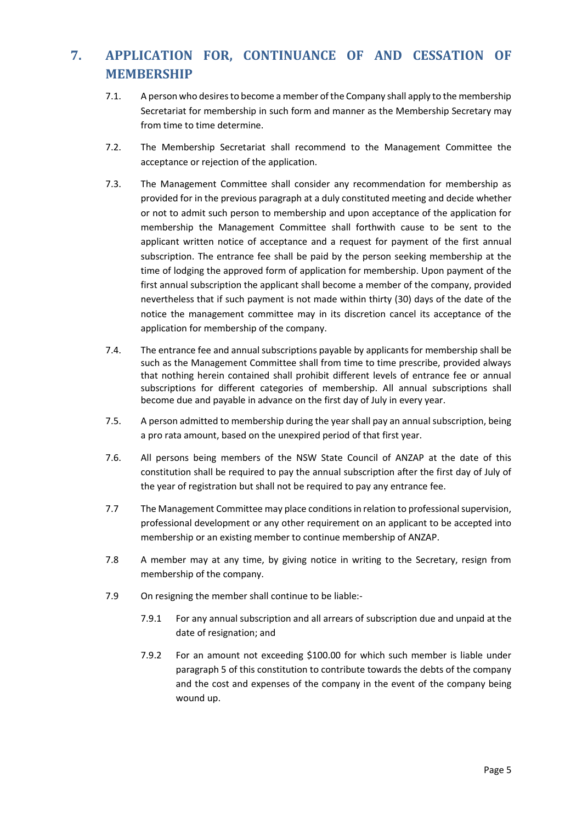# **7. APPLICATION FOR, CONTINUANCE OF AND CESSATION OF MEMBERSHIP**

- 7.1. A person who desires to become a member of the Company shall apply to the membership Secretariat for membership in such form and manner as the Membership Secretary may from time to time determine.
- 7.2. The Membership Secretariat shall recommend to the Management Committee the acceptance or rejection of the application.
- 7.3. The Management Committee shall consider any recommendation for membership as provided for in the previous paragraph at a duly constituted meeting and decide whether or not to admit such person to membership and upon acceptance of the application for membership the Management Committee shall forthwith cause to be sent to the applicant written notice of acceptance and a request for payment of the first annual subscription. The entrance fee shall be paid by the person seeking membership at the time of lodging the approved form of application for membership. Upon payment of the first annual subscription the applicant shall become a member of the company, provided nevertheless that if such payment is not made within thirty (30) days of the date of the notice the management committee may in its discretion cancel its acceptance of the application for membership of the company.
- 7.4. The entrance fee and annual subscriptions payable by applicants for membership shall be such as the Management Committee shall from time to time prescribe, provided always that nothing herein contained shall prohibit different levels of entrance fee or annual subscriptions for different categories of membership. All annual subscriptions shall become due and payable in advance on the first day of July in every year.
- 7.5. A person admitted to membership during the year shall pay an annual subscription, being a pro rata amount, based on the unexpired period of that first year.
- 7.6. All persons being members of the NSW State Council of ANZAP at the date of this constitution shall be required to pay the annual subscription after the first day of July of the year of registration but shall not be required to pay any entrance fee.
- 7.7 The Management Committee may place conditions in relation to professional supervision, professional development or any other requirement on an applicant to be accepted into membership or an existing member to continue membership of ANZAP.
- 7.8 A member may at any time, by giving notice in writing to the Secretary, resign from membership of the company.
- 7.9 On resigning the member shall continue to be liable:-
	- 7.9.1 For any annual subscription and all arrears of subscription due and unpaid at the date of resignation; and
	- 7.9.2 For an amount not exceeding \$100.00 for which such member is liable under paragraph 5 of this constitution to contribute towards the debts of the company and the cost and expenses of the company in the event of the company being wound up.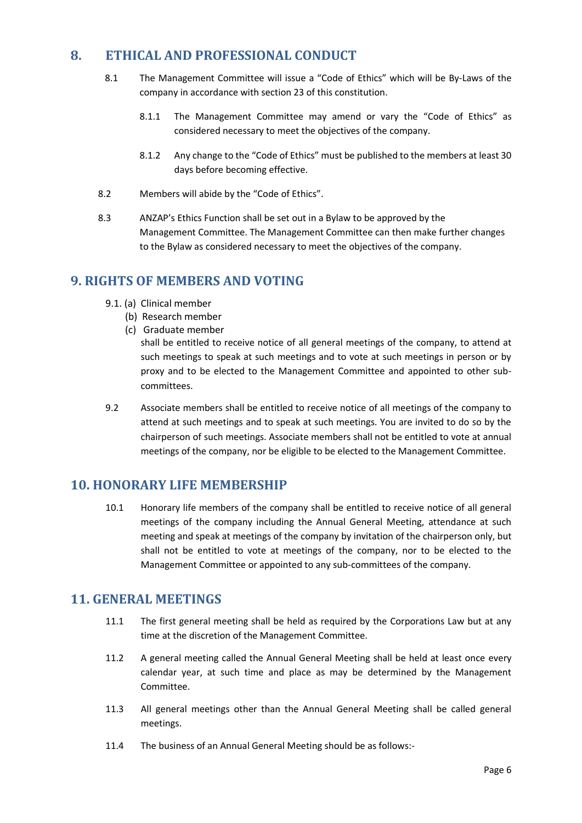## **8. ETHICAL AND PROFESSIONAL CONDUCT**

- 8.1 The Management Committee will issue a "Code of Ethics" which will be By-Laws of the company in accordance with section 23 of this constitution.
	- 8.1.1 The Management Committee may amend or vary the "Code of Ethics" as considered necessary to meet the objectives of the company.
	- 8.1.2 Any change to the "Code of Ethics" must be published to the members at least 30 days before becoming effective.
- 8.2 Members will abide by the "Code of Ethics".
- 8.3 ANZAP's Ethics Function shall be set out in a Bylaw to be approved by the Management Committee. The Management Committee can then make further changes to the Bylaw as considered necessary to meet the objectives of the company.

## **9. RIGHTS OF MEMBERS AND VOTING**

- 9.1. (a) Clinical member
	- (b) Research member
	- (c) Graduate member

shall be entitled to receive notice of all general meetings of the company, to attend at such meetings to speak at such meetings and to vote at such meetings in person or by proxy and to be elected to the Management Committee and appointed to other subcommittees.

9.2 Associate members shall be entitled to receive notice of all meetings of the company to attend at such meetings and to speak at such meetings. You are invited to do so by the chairperson of such meetings. Associate members shall not be entitled to vote at annual meetings of the company, nor be eligible to be elected to the Management Committee.

## **10. HONORARY LIFE MEMBERSHIP**

10.1 Honorary life members of the company shall be entitled to receive notice of all general meetings of the company including the Annual General Meeting, attendance at such meeting and speak at meetings of the company by invitation of the chairperson only, but shall not be entitled to vote at meetings of the company, nor to be elected to the Management Committee or appointed to any sub-committees of the company.

## **11. GENERAL MEETINGS**

- 11.1 The first general meeting shall be held as required by the Corporations Law but at any time at the discretion of the Management Committee.
- 11.2 A general meeting called the Annual General Meeting shall be held at least once every calendar year, at such time and place as may be determined by the Management Committee.
- 11.3 All general meetings other than the Annual General Meeting shall be called general meetings.
- 11.4 The business of an Annual General Meeting should be as follows:-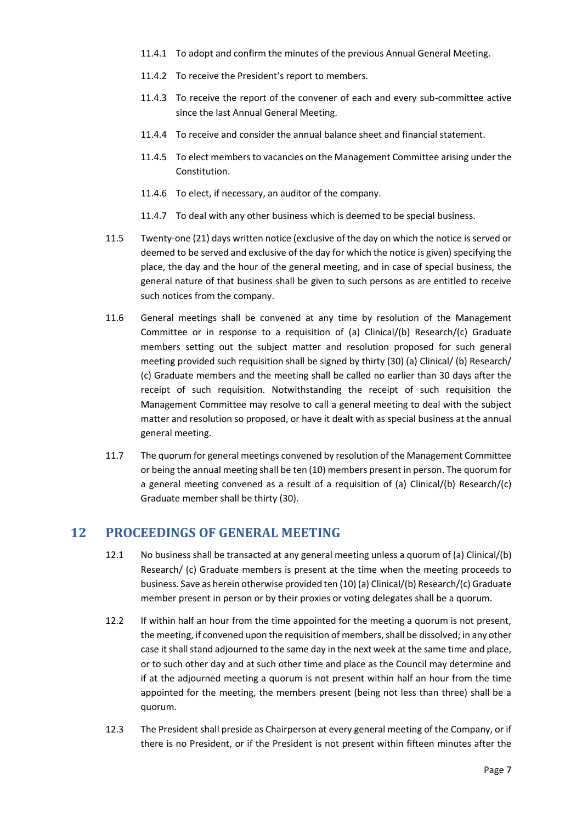- 11.4.1 To adopt and confirm the minutes of the previous Annual General Meeting.
- 11.4.2 To receive the President's report to members.
- 11.4.3 To receive the report of the convener of each and every sub-committee active since the last Annual General Meeting.
- 11.4.4 To receive and consider the annual balance sheet and financial statement.
- 11.4.5 To elect members to vacancies on the Management Committee arising under the Constitution.
- 11.4.6 To elect, if necessary, an auditor of the company.
- 11.4.7 To deal with any other business which is deemed to be special business.
- 11.5 Twenty-one (21) days written notice (exclusive of the day on which the notice is served or deemed to be served and exclusive of the day for which the notice is given) specifying the place, the day and the hour of the general meeting, and in case of special business, the general nature of that business shall be given to such persons as are entitled to receive such notices from the company.
- 11.6 General meetings shall be convened at any time by resolution of the Management Committee or in response to a requisition of (a) Clinical/(b) Research/(c) Graduate members setting out the subject matter and resolution proposed for such general meeting provided such requisition shall be signed by thirty (30) (a) Clinical/ (b) Research/ (c) Graduate members and the meeting shall be called no earlier than 30 days after the receipt of such requisition. Notwithstanding the receipt of such requisition the Management Committee may resolve to call a general meeting to deal with the subject matter and resolution so proposed, or have it dealt with as special business at the annual general meeting.
- 11.7 The quorum for general meetings convened by resolution of the Management Committee or being the annual meeting shall be ten (10) members present in person. The quorum for a general meeting convened as a result of a requisition of (a) Clinical/(b) Research/(c) Graduate member shall be thirty (30).

#### **12 PROCEEDINGS OF GENERAL MEETING**

- 12.1 No business shall be transacted at any general meeting unless a quorum of (a) Clinical/(b) Research/ (c) Graduate members is present at the time when the meeting proceeds to business. Save as herein otherwise provided ten (10) (a) Clinical/(b) Research/(c) Graduate member present in person or by their proxies or voting delegates shall be a quorum.
- 12.2 If within half an hour from the time appointed for the meeting a quorum is not present, the meeting, if convened upon the requisition of members, shall be dissolved; in any other case it shall stand adjourned to the same day in the next week at the same time and place, or to such other day and at such other time and place as the Council may determine and if at the adjourned meeting a quorum is not present within half an hour from the time appointed for the meeting, the members present (being not less than three) shall be a quorum.
- 12.3 The President shall preside as Chairperson at every general meeting of the Company, or if there is no President, or if the President is not present within fifteen minutes after the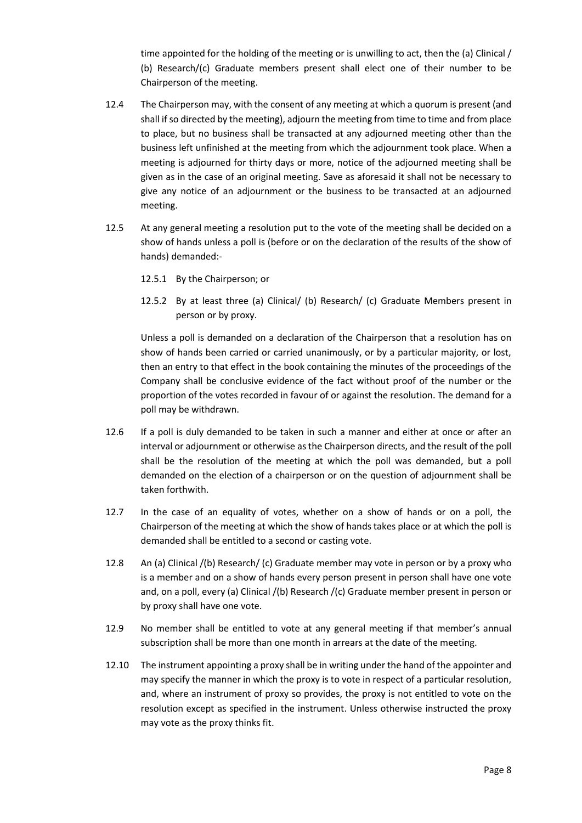time appointed for the holding of the meeting or is unwilling to act, then the (a) Clinical / (b) Research/(c) Graduate members present shall elect one of their number to be Chairperson of the meeting.

- 12.4 The Chairperson may, with the consent of any meeting at which a quorum is present (and shall if so directed by the meeting), adjourn the meeting from time to time and from place to place, but no business shall be transacted at any adjourned meeting other than the business left unfinished at the meeting from which the adjournment took place. When a meeting is adjourned for thirty days or more, notice of the adjourned meeting shall be given as in the case of an original meeting. Save as aforesaid it shall not be necessary to give any notice of an adjournment or the business to be transacted at an adjourned meeting.
- 12.5 At any general meeting a resolution put to the vote of the meeting shall be decided on a show of hands unless a poll is (before or on the declaration of the results of the show of hands) demanded:-
	- 12.5.1 By the Chairperson; or
	- 12.5.2 By at least three (a) Clinical/ (b) Research/ (c) Graduate Members present in person or by proxy.

Unless a poll is demanded on a declaration of the Chairperson that a resolution has on show of hands been carried or carried unanimously, or by a particular majority, or lost, then an entry to that effect in the book containing the minutes of the proceedings of the Company shall be conclusive evidence of the fact without proof of the number or the proportion of the votes recorded in favour of or against the resolution. The demand for a poll may be withdrawn.

- 12.6 If a poll is duly demanded to be taken in such a manner and either at once or after an interval or adjournment or otherwise as the Chairperson directs, and the result of the poll shall be the resolution of the meeting at which the poll was demanded, but a poll demanded on the election of a chairperson or on the question of adjournment shall be taken forthwith.
- 12.7 In the case of an equality of votes, whether on a show of hands or on a poll, the Chairperson of the meeting at which the show of hands takes place or at which the poll is demanded shall be entitled to a second or casting vote.
- 12.8 An (a) Clinical /(b) Research/ (c) Graduate member may vote in person or by a proxy who is a member and on a show of hands every person present in person shall have one vote and, on a poll, every (a) Clinical /(b) Research /(c) Graduate member present in person or by proxy shall have one vote.
- 12.9 No member shall be entitled to vote at any general meeting if that member's annual subscription shall be more than one month in arrears at the date of the meeting.
- 12.10 The instrument appointing a proxy shall be in writing under the hand of the appointer and may specify the manner in which the proxy is to vote in respect of a particular resolution, and, where an instrument of proxy so provides, the proxy is not entitled to vote on the resolution except as specified in the instrument. Unless otherwise instructed the proxy may vote as the proxy thinks fit.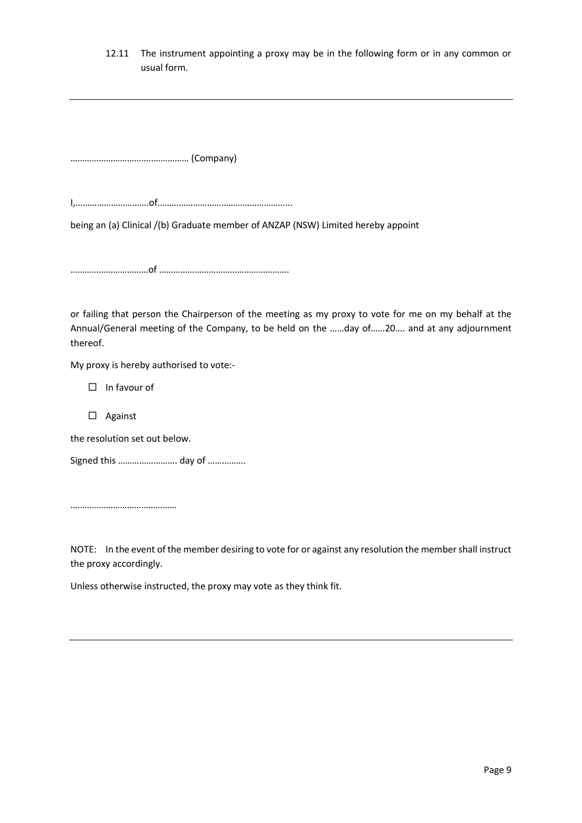#### 12.11 The instrument appointing a proxy may be in the following form or in any common or usual form.

……………………………..…………… (Company)

I,………………………….of………………………………………………...

being an (a) Clinical /(b) Graduate member of ANZAP (NSW) Limited hereby appoint

……………………………of ……………………………………………….

or failing that person the Chairperson of the meeting as my proxy to vote for me on my behalf at the Annual/General meeting of the Company, to be held on the ……day of……20…. and at any adjournment thereof.

My proxy is hereby authorised to vote:-

 $\Box$  In favour of

Against

the resolution set out below.

Signed this ……………………. day of …………….

………………………………………

NOTE: In the event of the member desiring to vote for or against any resolution the member shall instruct the proxy accordingly.

Unless otherwise instructed, the proxy may vote as they think fit.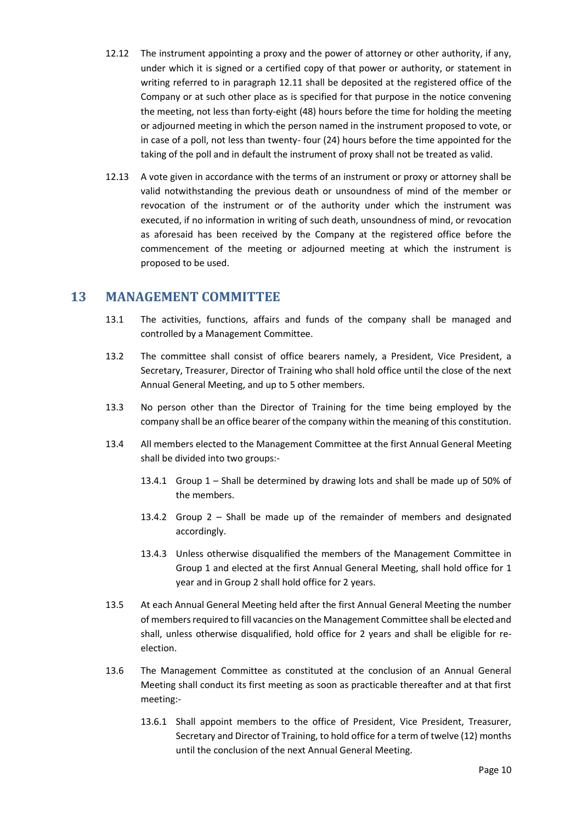- 12.12 The instrument appointing a proxy and the power of attorney or other authority, if any, under which it is signed or a certified copy of that power or authority, or statement in writing referred to in paragraph 12.11 shall be deposited at the registered office of the Company or at such other place as is specified for that purpose in the notice convening the meeting, not less than forty-eight (48) hours before the time for holding the meeting or adjourned meeting in which the person named in the instrument proposed to vote, or in case of a poll, not less than twenty- four (24) hours before the time appointed for the taking of the poll and in default the instrument of proxy shall not be treated as valid.
- 12.13 A vote given in accordance with the terms of an instrument or proxy or attorney shall be valid notwithstanding the previous death or unsoundness of mind of the member or revocation of the instrument or of the authority under which the instrument was executed, if no information in writing of such death, unsoundness of mind, or revocation as aforesaid has been received by the Company at the registered office before the commencement of the meeting or adjourned meeting at which the instrument is proposed to be used.

#### **13 MANAGEMENT COMMITTEE**

- 13.1 The activities, functions, affairs and funds of the company shall be managed and controlled by a Management Committee.
- 13.2 The committee shall consist of office bearers namely, a President, Vice President, a Secretary, Treasurer, Director of Training who shall hold office until the close of the next Annual General Meeting, and up to 5 other members.
- 13.3 No person other than the Director of Training for the time being employed by the company shall be an office bearer of the company within the meaning of this constitution.
- 13.4 All members elected to the Management Committee at the first Annual General Meeting shall be divided into two groups:-
	- 13.4.1 Group 1 Shall be determined by drawing lots and shall be made up of 50% of the members.
	- 13.4.2 Group 2 Shall be made up of the remainder of members and designated accordingly.
	- 13.4.3 Unless otherwise disqualified the members of the Management Committee in Group 1 and elected at the first Annual General Meeting, shall hold office for 1 year and in Group 2 shall hold office for 2 years.
- 13.5 At each Annual General Meeting held after the first Annual General Meeting the number of members required to fill vacancies on the Management Committee shall be elected and shall, unless otherwise disqualified, hold office for 2 years and shall be eligible for reelection.
- 13.6 The Management Committee as constituted at the conclusion of an Annual General Meeting shall conduct its first meeting as soon as practicable thereafter and at that first meeting:-
	- 13.6.1 Shall appoint members to the office of President, Vice President, Treasurer, Secretary and Director of Training, to hold office for a term of twelve (12) months until the conclusion of the next Annual General Meeting.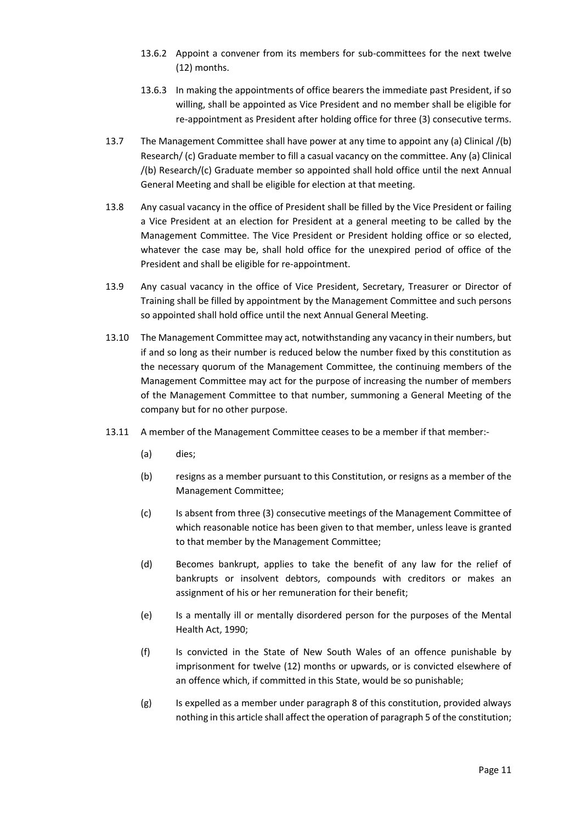- 13.6.2 Appoint a convener from its members for sub-committees for the next twelve (12) months.
- 13.6.3 In making the appointments of office bearers the immediate past President, if so willing, shall be appointed as Vice President and no member shall be eligible for re-appointment as President after holding office for three (3) consecutive terms.
- 13.7 The Management Committee shall have power at any time to appoint any (a) Clinical /(b) Research/ (c) Graduate member to fill a casual vacancy on the committee. Any (a) Clinical /(b) Research/(c) Graduate member so appointed shall hold office until the next Annual General Meeting and shall be eligible for election at that meeting.
- 13.8 Any casual vacancy in the office of President shall be filled by the Vice President or failing a Vice President at an election for President at a general meeting to be called by the Management Committee. The Vice President or President holding office or so elected, whatever the case may be, shall hold office for the unexpired period of office of the President and shall be eligible for re-appointment.
- 13.9 Any casual vacancy in the office of Vice President, Secretary, Treasurer or Director of Training shall be filled by appointment by the Management Committee and such persons so appointed shall hold office until the next Annual General Meeting.
- 13.10 The Management Committee may act, notwithstanding any vacancy in their numbers, but if and so long as their number is reduced below the number fixed by this constitution as the necessary quorum of the Management Committee, the continuing members of the Management Committee may act for the purpose of increasing the number of members of the Management Committee to that number, summoning a General Meeting of the company but for no other purpose.
- 13.11 A member of the Management Committee ceases to be a member if that member:-
	- (a) dies;
	- (b) resigns as a member pursuant to this Constitution, or resigns as a member of the Management Committee;
	- (c) Is absent from three (3) consecutive meetings of the Management Committee of which reasonable notice has been given to that member, unless leave is granted to that member by the Management Committee;
	- (d) Becomes bankrupt, applies to take the benefit of any law for the relief of bankrupts or insolvent debtors, compounds with creditors or makes an assignment of his or her remuneration for their benefit;
	- (e) Is a mentally ill or mentally disordered person for the purposes of the Mental Health Act, 1990;
	- (f) Is convicted in the State of New South Wales of an offence punishable by imprisonment for twelve (12) months or upwards, or is convicted elsewhere of an offence which, if committed in this State, would be so punishable;
	- (g) Is expelled as a member under paragraph 8 of this constitution, provided always nothing in this article shall affect the operation of paragraph 5 of the constitution;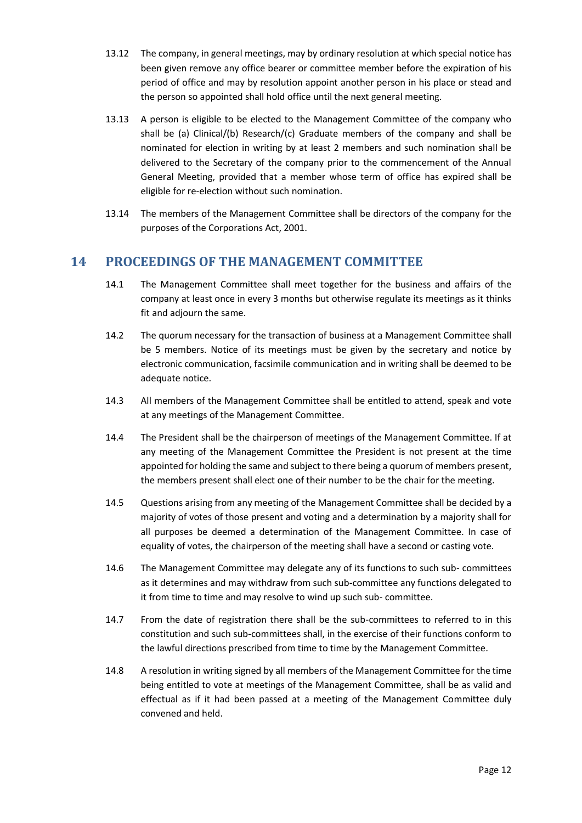- 13.12 The company, in general meetings, may by ordinary resolution at which special notice has been given remove any office bearer or committee member before the expiration of his period of office and may by resolution appoint another person in his place or stead and the person so appointed shall hold office until the next general meeting.
- 13.13 A person is eligible to be elected to the Management Committee of the company who shall be (a) Clinical/(b) Research/(c) Graduate members of the company and shall be nominated for election in writing by at least 2 members and such nomination shall be delivered to the Secretary of the company prior to the commencement of the Annual General Meeting, provided that a member whose term of office has expired shall be eligible for re-election without such nomination.
- 13.14 The members of the Management Committee shall be directors of the company for the purposes of the Corporations Act, 2001.

## **14 PROCEEDINGS OF THE MANAGEMENT COMMITTEE**

- 14.1 The Management Committee shall meet together for the business and affairs of the company at least once in every 3 months but otherwise regulate its meetings as it thinks fit and adjourn the same.
- 14.2 The quorum necessary for the transaction of business at a Management Committee shall be 5 members. Notice of its meetings must be given by the secretary and notice by electronic communication, facsimile communication and in writing shall be deemed to be adequate notice.
- 14.3 All members of the Management Committee shall be entitled to attend, speak and vote at any meetings of the Management Committee.
- 14.4 The President shall be the chairperson of meetings of the Management Committee. If at any meeting of the Management Committee the President is not present at the time appointed for holding the same and subject to there being a quorum of members present, the members present shall elect one of their number to be the chair for the meeting.
- 14.5 Questions arising from any meeting of the Management Committee shall be decided by a majority of votes of those present and voting and a determination by a majority shall for all purposes be deemed a determination of the Management Committee. In case of equality of votes, the chairperson of the meeting shall have a second or casting vote.
- 14.6 The Management Committee may delegate any of its functions to such sub- committees as it determines and may withdraw from such sub-committee any functions delegated to it from time to time and may resolve to wind up such sub- committee.
- 14.7 From the date of registration there shall be the sub-committees to referred to in this constitution and such sub-committees shall, in the exercise of their functions conform to the lawful directions prescribed from time to time by the Management Committee.
- 14.8 A resolution in writing signed by all members of the Management Committee for the time being entitled to vote at meetings of the Management Committee, shall be as valid and effectual as if it had been passed at a meeting of the Management Committee duly convened and held.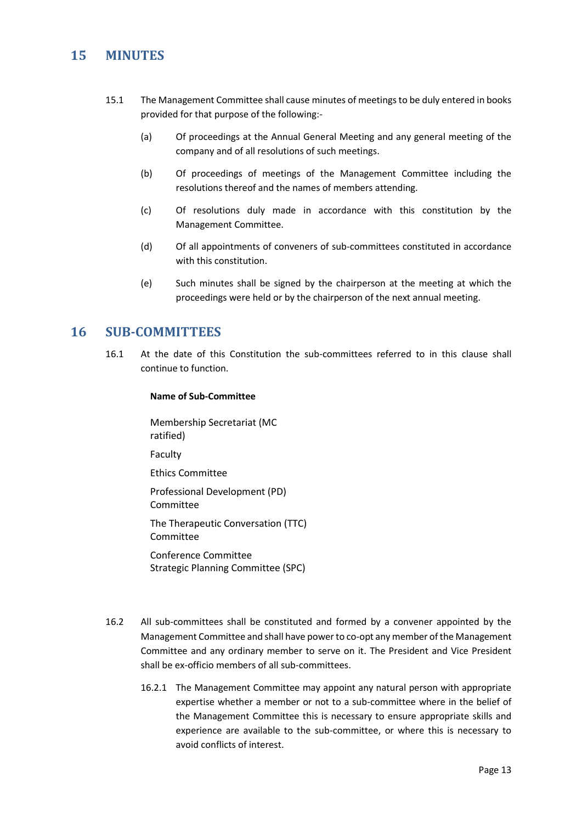## **15 MINUTES**

- 15.1 The Management Committee shall cause minutes of meetings to be duly entered in books provided for that purpose of the following:-
	- (a) Of proceedings at the Annual General Meeting and any general meeting of the company and of all resolutions of such meetings.
	- (b) Of proceedings of meetings of the Management Committee including the resolutions thereof and the names of members attending.
	- (c) Of resolutions duly made in accordance with this constitution by the Management Committee.
	- (d) Of all appointments of conveners of sub-committees constituted in accordance with this constitution.
	- (e) Such minutes shall be signed by the chairperson at the meeting at which the proceedings were held or by the chairperson of the next annual meeting.

#### **16 SUB-COMMITTEES**

16.1 At the date of this Constitution the sub-committees referred to in this clause shall continue to function.

#### **Name of Sub-Committee**

Membership Secretariat (MC ratified) Faculty

Ethics Committee

Professional Development (PD) Committee

The Therapeutic Conversation (TTC) Committee

Conference Committee Strategic Planning Committee (SPC)

- 16.2 All sub-committees shall be constituted and formed by a convener appointed by the Management Committee and shall have power to co-opt any member of the Management Committee and any ordinary member to serve on it. The President and Vice President shall be ex-officio members of all sub-committees.
	- 16.2.1 The Management Committee may appoint any natural person with appropriate expertise whether a member or not to a sub-committee where in the belief of the Management Committee this is necessary to ensure appropriate skills and experience are available to the sub-committee, or where this is necessary to avoid conflicts of interest.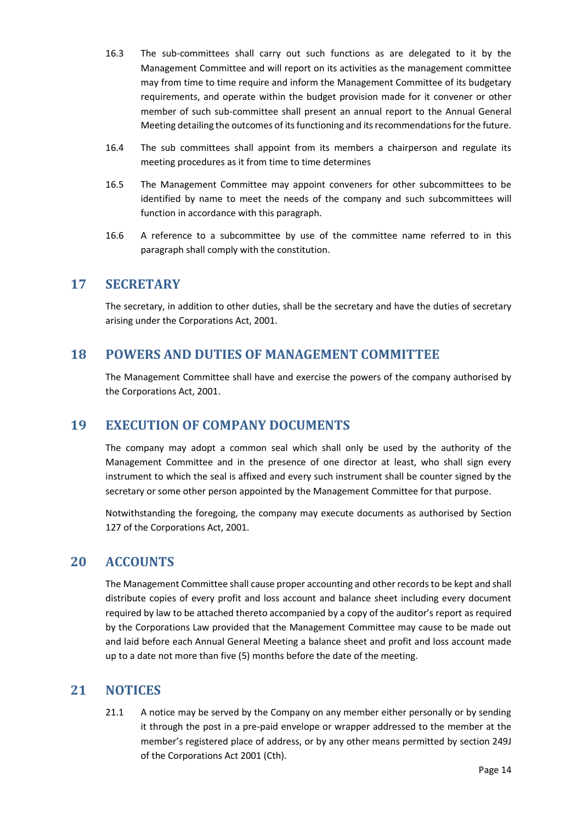- 16.3 The sub-committees shall carry out such functions as are delegated to it by the Management Committee and will report on its activities as the management committee may from time to time require and inform the Management Committee of its budgetary requirements, and operate within the budget provision made for it convener or other member of such sub-committee shall present an annual report to the Annual General Meeting detailing the outcomes of its functioning and its recommendations for the future.
- 16.4 The sub committees shall appoint from its members a chairperson and regulate its meeting procedures as it from time to time determines
- 16.5 The Management Committee may appoint conveners for other subcommittees to be identified by name to meet the needs of the company and such subcommittees will function in accordance with this paragraph.
- 16.6 A reference to a subcommittee by use of the committee name referred to in this paragraph shall comply with the constitution.

#### **17 SECRETARY**

The secretary, in addition to other duties, shall be the secretary and have the duties of secretary arising under the Corporations Act, 2001.

#### **18 POWERS AND DUTIES OF MANAGEMENT COMMITTEE**

The Management Committee shall have and exercise the powers of the company authorised by the Corporations Act, 2001.

#### **19 EXECUTION OF COMPANY DOCUMENTS**

The company may adopt a common seal which shall only be used by the authority of the Management Committee and in the presence of one director at least, who shall sign every instrument to which the seal is affixed and every such instrument shall be counter signed by the secretary or some other person appointed by the Management Committee for that purpose.

Notwithstanding the foregoing, the company may execute documents as authorised by Section 127 of the Corporations Act, 2001.

## **20 ACCOUNTS**

The Management Committee shall cause proper accounting and other records to be kept and shall distribute copies of every profit and loss account and balance sheet including every document required by law to be attached thereto accompanied by a copy of the auditor's report as required by the Corporations Law provided that the Management Committee may cause to be made out and laid before each Annual General Meeting a balance sheet and profit and loss account made up to a date not more than five (5) months before the date of the meeting.

#### **21 NOTICES**

21.1 A notice may be served by the Company on any member either personally or by sending it through the post in a pre-paid envelope or wrapper addressed to the member at the member's registered place of address, or by any other means permitted by section 249J of the Corporations Act 2001 (Cth).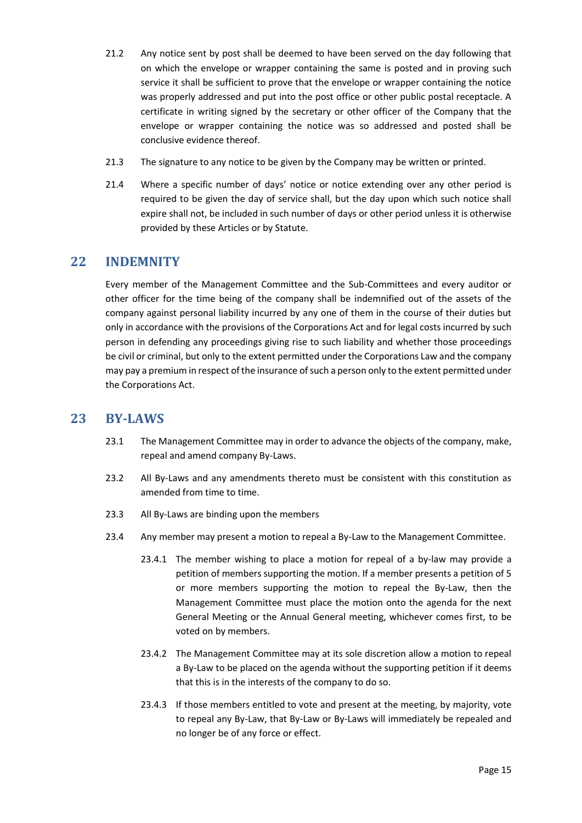- 21.2 Any notice sent by post shall be deemed to have been served on the day following that on which the envelope or wrapper containing the same is posted and in proving such service it shall be sufficient to prove that the envelope or wrapper containing the notice was properly addressed and put into the post office or other public postal receptacle. A certificate in writing signed by the secretary or other officer of the Company that the envelope or wrapper containing the notice was so addressed and posted shall be conclusive evidence thereof.
- 21.3 The signature to any notice to be given by the Company may be written or printed.
- 21.4 Where a specific number of days' notice or notice extending over any other period is required to be given the day of service shall, but the day upon which such notice shall expire shall not, be included in such number of days or other period unless it is otherwise provided by these Articles or by Statute.

## **22 INDEMNITY**

Every member of the Management Committee and the Sub-Committees and every auditor or other officer for the time being of the company shall be indemnified out of the assets of the company against personal liability incurred by any one of them in the course of their duties but only in accordance with the provisions of the Corporations Act and for legal costs incurred by such person in defending any proceedings giving rise to such liability and whether those proceedings be civil or criminal, but only to the extent permitted under the Corporations Law and the company may pay a premium in respect of the insurance of such a person only to the extent permitted under the Corporations Act.

### **23 BY-LAWS**

- 23.1 The Management Committee may in order to advance the objects of the company, make, repeal and amend company By-Laws.
- 23.2 All By-Laws and any amendments thereto must be consistent with this constitution as amended from time to time.
- 23.3 All By-Laws are binding upon the members
- 23.4 Any member may present a motion to repeal a By-Law to the Management Committee.
	- 23.4.1 The member wishing to place a motion for repeal of a by-law may provide a petition of members supporting the motion. If a member presents a petition of 5 or more members supporting the motion to repeal the By-Law, then the Management Committee must place the motion onto the agenda for the next General Meeting or the Annual General meeting, whichever comes first, to be voted on by members.
	- 23.4.2 The Management Committee may at its sole discretion allow a motion to repeal a By-Law to be placed on the agenda without the supporting petition if it deems that this is in the interests of the company to do so.
	- 23.4.3 If those members entitled to vote and present at the meeting, by majority, vote to repeal any By-Law, that By-Law or By-Laws will immediately be repealed and no longer be of any force or effect.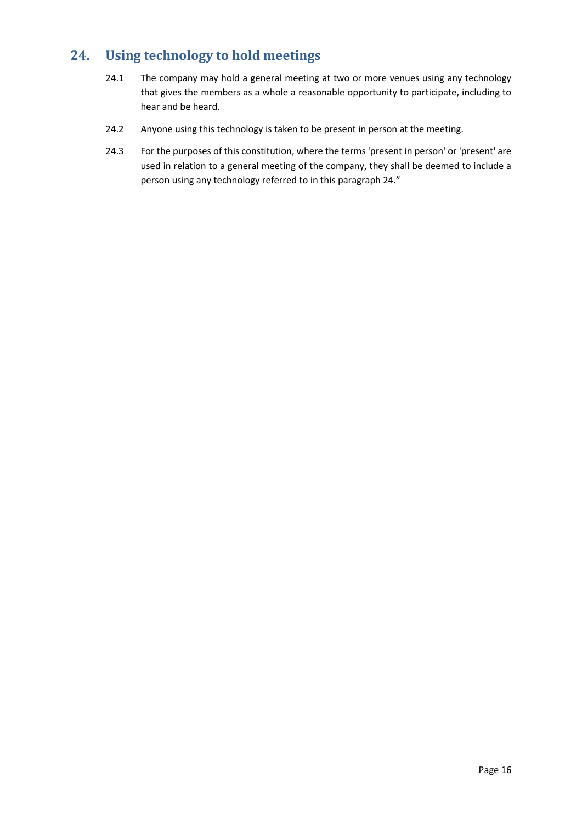# **24. Using technology to hold meetings**

- 24.1 The company may hold a general meeting at two or more venues using any technology that gives the members as a whole a reasonable opportunity to participate, including to hear and be heard.
- 24.2 Anyone using this technology is taken to be present in person at the meeting.
- 24.3 For the purposes of this constitution, where the terms 'present in person' or 'present' are used in relation to a general meeting of the company, they shall be deemed to include a person using any technology referred to in this paragraph 24."